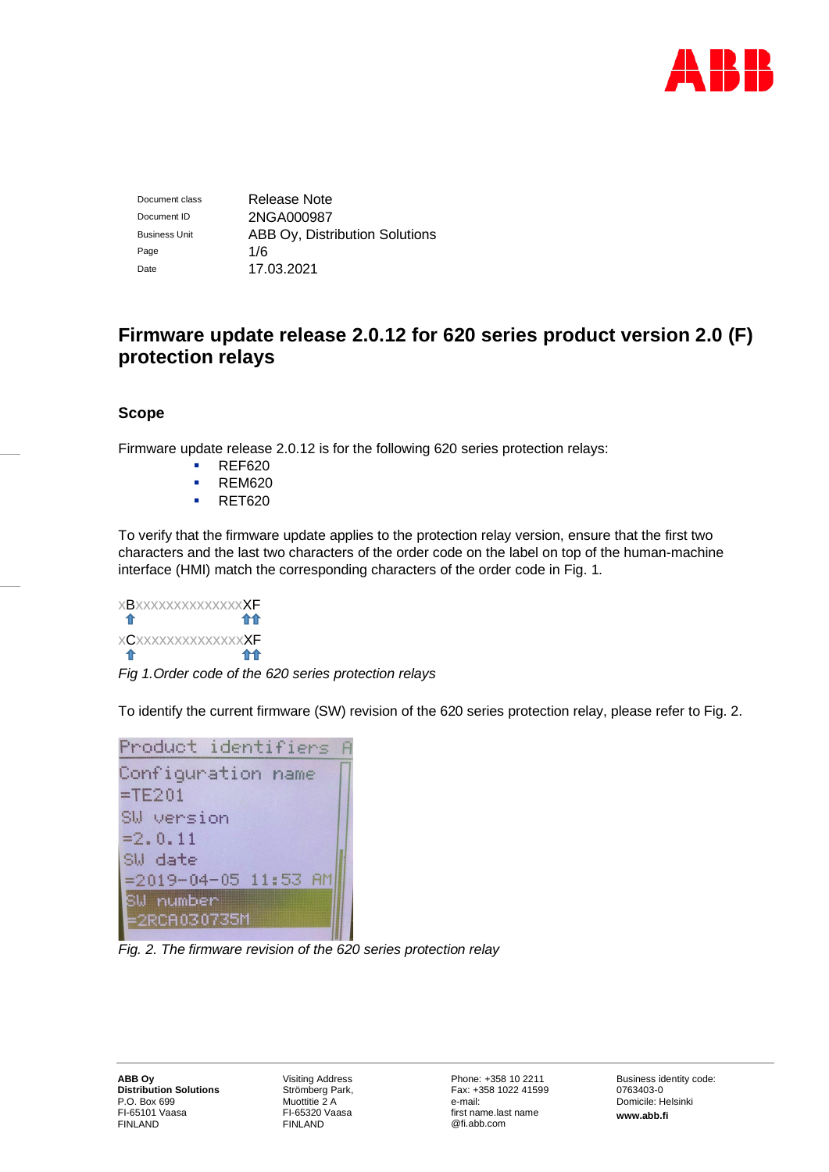

Document class Release Note Document ID 2NGA000987 Business Unit **ABB Oy, Distribution Solutions** Page 1/6 Date 17.03.2021

# **Firmware update release 2.0.12 for 620 series product version 2.0 (F) protection relays**

## **Scope**

Firmware update release 2.0.12 is for the following 620 series protection relays:

- REF620
- REM620
- RET620

To verify that the firmware update applies to the protection relay version, ensure that the first two characters and the last two characters of the order code on the label on top of the human-machine interface (HMI) match the corresponding characters of the order code in Fig. 1.

xBxxxxxxxxxxxxxxXF 介介 介 xCxxxxxxxxxxxxxxXF 合合 *Fig 1.Order code of the 620 series protection relays*

To identify the current firmware (SW) revision of the 620 series protection relay, please refer to Fig. 2.



*Fig. 2. The firmware revision of the 620 series protection relay*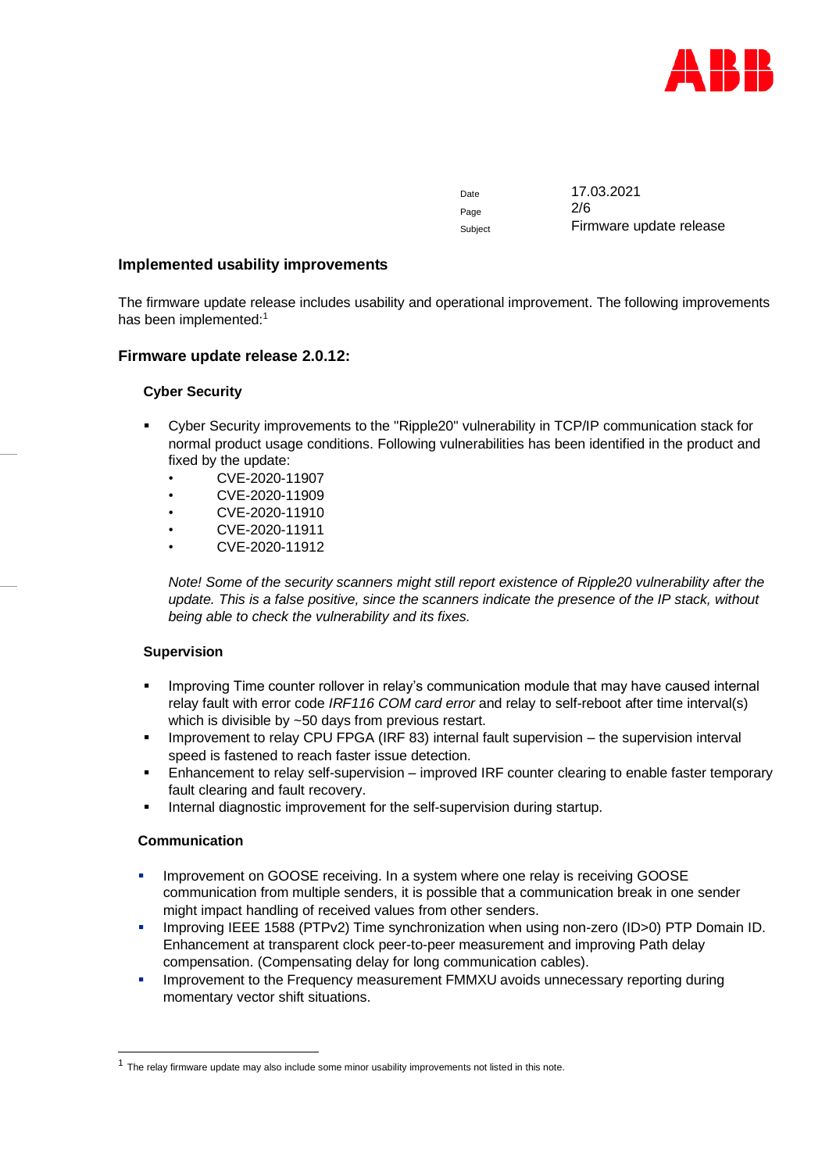

Page 2/6

Date 17.03.2021 Subject Firmware update release

## **Implemented usability improvements**

The firmware update release includes usability and operational improvement. The following improvements has been implemented:<sup>1</sup>

## **Firmware update release 2.0.12:**

## **Cyber Security**

- Cyber Security improvements to the "Ripple20" vulnerability in TCP/IP communication stack for normal product usage conditions. Following vulnerabilities has been identified in the product and fixed by the update:
	- CVE-2020-11907
	- CVE-2020-11909
	- CVE-2020-11910
	- CVE-2020-11911
	- CVE-2020-11912

*Note! Some of the security scanners might still report existence of Ripple20 vulnerability after the update. This is a false positive, since the scanners indicate the presence of the IP stack, without being able to check the vulnerability and its fixes.*

#### **Supervision**

- Improving Time counter rollover in relay's communication module that may have caused internal relay fault with error code *IRF116 COM card error* and relay to self-reboot after time interval(s) which is divisible by ~50 days from previous restart.
- Improvement to relay CPU FPGA (IRF 83) internal fault supervision the supervision interval speed is fastened to reach faster issue detection.
- Enhancement to relay self-supervision improved IRF counter clearing to enable faster temporary fault clearing and fault recovery.
- Internal diagnostic improvement for the self-supervision during startup.

#### **Communication**

- **Improvement on GOOSE receiving. In a system where one relay is receiving GOOSE** communication from multiple senders, it is possible that a communication break in one sender might impact handling of received values from other senders.
- Improving IEEE 1588 (PTPv2) Time synchronization when using non-zero (ID>0) PTP Domain ID. Enhancement at transparent clock peer-to-peer measurement and improving Path delay compensation. (Compensating delay for long communication cables).
- **Improvement to the Frequency measurement FMMXU avoids unnecessary reporting during** momentary vector shift situations.

 $1$  The relay firmware update may also include some minor usability improvements not listed in this note.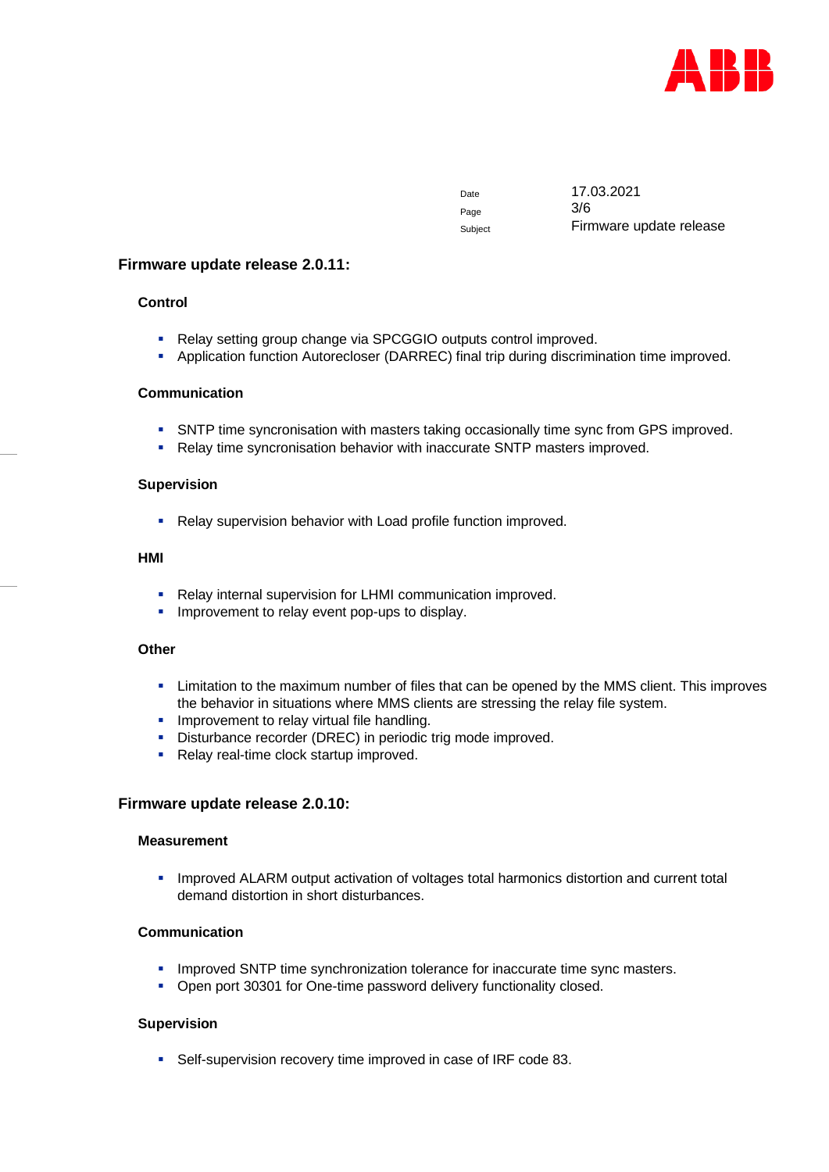

Page 3/6

Date 17.03.2021 Subject Firmware update release

## **Firmware update release 2.0.11:**

## **Control**

- Relay setting group change via SPCGGIO outputs control improved.
- **EXEDENTIFY Application function Autorecloser (DARREC) final trip during discrimination time improved.**

#### **Communication**

- **SNTP time syncronisation with masters taking occasionally time sync from GPS improved.**
- Relay time syncronisation behavior with inaccurate SNTP masters improved.

#### **Supervision**

■ Relay supervision behavior with Load profile function improved.

#### **HMI**

- Relay internal supervision for LHMI communication improved.
- **.** Improvement to relay event pop-ups to display.

## **Other**

- **EXECT 1** Limitation to the maximum number of files that can be opened by the MMS client. This improves the behavior in situations where MMS clients are stressing the relay file system.
- **·** Improvement to relay virtual file handling.
- **E** Disturbance recorder (DREC) in periodic trig mode improved.
- Relay real-time clock startup improved.

#### **Firmware update release 2.0.10:**

#### **Measurement**

**.** Improved ALARM output activation of voltages total harmonics distortion and current total demand distortion in short disturbances.

## **Communication**

- **.** Improved SNTP time synchronization tolerance for inaccurate time sync masters.
- Open port 30301 for One-time password delivery functionality closed.

#### **Supervision**

■ Self-supervision recovery time improved in case of IRF code 83.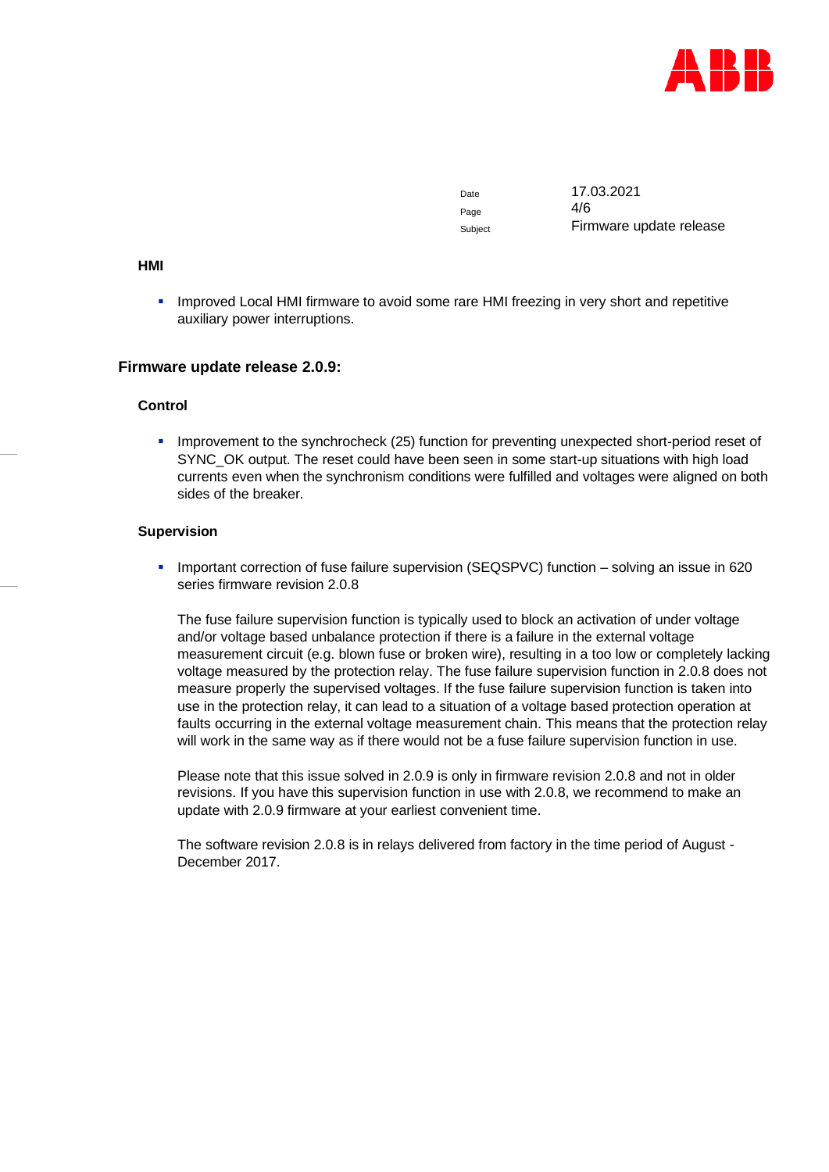

Page  $4/6$ 

Date 17.03.2021 Subject Firmware update release

#### **HMI**

**.** Improved Local HMI firmware to avoid some rare HMI freezing in very short and repetitive auxiliary power interruptions.

#### **Firmware update release 2.0.9:**

#### **Control**

**.** Improvement to the synchrocheck (25) function for preventing unexpected short-period reset of SYNC\_OK output. The reset could have been seen in some start-up situations with high load currents even when the synchronism conditions were fulfilled and voltages were aligned on both sides of the breaker.

#### **Supervision**

**·** Important correction of fuse failure supervision (SEQSPVC) function – solving an issue in 620 series firmware revision 2.0.8

The fuse failure supervision function is typically used to block an activation of under voltage and/or voltage based unbalance protection if there is a failure in the external voltage measurement circuit (e.g. blown fuse or broken wire), resulting in a too low or completely lacking voltage measured by the protection relay. The fuse failure supervision function in 2.0.8 does not measure properly the supervised voltages. If the fuse failure supervision function is taken into use in the protection relay, it can lead to a situation of a voltage based protection operation at faults occurring in the external voltage measurement chain. This means that the protection relay will work in the same way as if there would not be a fuse failure supervision function in use.

Please note that this issue solved in 2.0.9 is only in firmware revision 2.0.8 and not in older revisions. If you have this supervision function in use with 2.0.8, we recommend to make an update with 2.0.9 firmware at your earliest convenient time.

The software revision 2.0.8 is in relays delivered from factory in the time period of August - December 2017.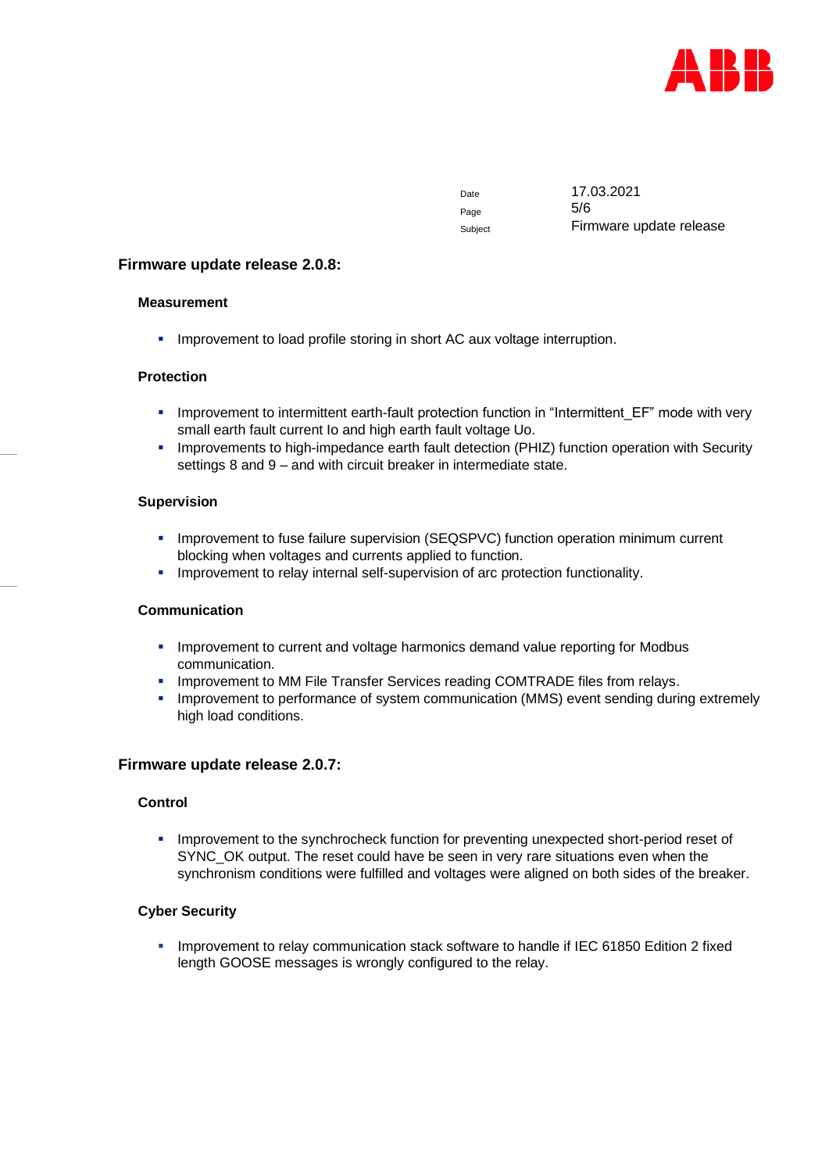

Page 5/6

Date 17.03.2021 Subject Firmware update release

## **Firmware update release 2.0.8:**

## **Measurement**

**.** Improvement to load profile storing in short AC aux voltage interruption.

## **Protection**

- **.** Improvement to intermittent earth-fault protection function in "Intermittent EF" mode with very small earth fault current Io and high earth fault voltage Uo.
- **·** Improvements to high-impedance earth fault detection (PHIZ) function operation with Security settings 8 and 9 – and with circuit breaker in intermediate state.

## **Supervision**

- **.** Improvement to fuse failure supervision (SEQSPVC) function operation minimum current blocking when voltages and currents applied to function.
- **EXECT** Improvement to relay internal self-supervision of arc protection functionality.

## **Communication**

- **.** Improvement to current and voltage harmonics demand value reporting for Modbus communication.
- **.** Improvement to MM File Transfer Services reading COMTRADE files from relays.
- **Improvement to performance of system communication (MMS) event sending during extremely** high load conditions.

## **Firmware update release 2.0.7:**

## **Control**

**.** Improvement to the synchrocheck function for preventing unexpected short-period reset of SYNC\_OK output. The reset could have be seen in very rare situations even when the synchronism conditions were fulfilled and voltages were aligned on both sides of the breaker.

## **Cyber Security**

▪ Improvement to relay communication stack software to handle if IEC 61850 Edition 2 fixed length GOOSE messages is wrongly configured to the relay.